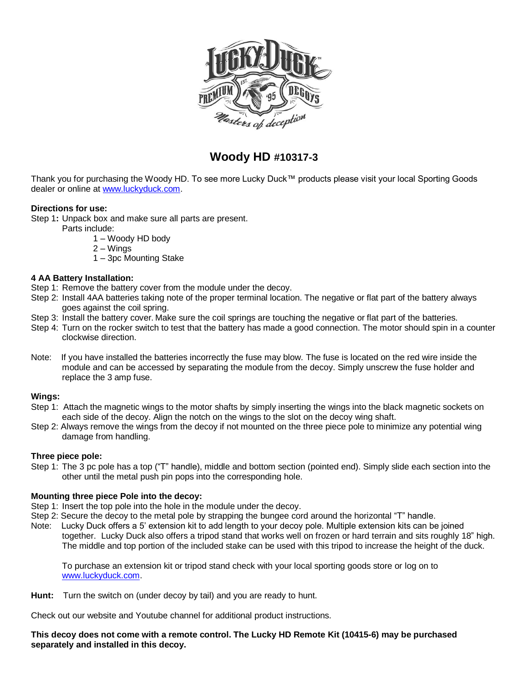

# **Woody HD #10317-3**

Thank you for purchasing the Woody HD. To see more Lucky Duck™ products please visit your local Sporting Goods dealer or online at [www.luckyduck.com.](http://www.luckyduck.com/)

# **Directions for use:**

Step 1**:** Unpack box and make sure all parts are present.

Parts include:

- 1 Woody HD body
- 2 Wings
- 1 3pc Mounting Stake

#### **4 AA Battery Installation:**

- Step 1: Remove the battery cover from the module under the decoy.
- Step 2: Install 4AA batteries taking note of the proper terminal location. The negative or flat part of the battery always goes against the coil spring.
- Step 3: Install the battery cover. Make sure the coil springs are touching the negative or flat part of the batteries.
- Step 4: Turn on the rocker switch to test that the battery has made a good connection. The motor should spin in a counter clockwise direction.
- Note: If you have installed the batteries incorrectly the fuse may blow. The fuse is located on the red wire inside the module and can be accessed by separating the module from the decoy. Simply unscrew the fuse holder and replace the 3 amp fuse.

#### **Wings:**

- Step 1: Attach the magnetic wings to the motor shafts by simply inserting the wings into the black magnetic sockets on each side of the decoy. Align the notch on the wings to the slot on the decoy wing shaft.
- Step 2: Always remove the wings from the decoy if not mounted on the three piece pole to minimize any potential wing damage from handling.

# **Three piece pole:**

Step 1: The 3 pc pole has a top ("T" handle), middle and bottom section (pointed end). Simply slide each section into the other until the metal push pin pops into the corresponding hole.

# **Mounting three piece Pole into the decoy:**

Step 1: Insert the top pole into the hole in the module under the decoy.

- Step 2: Secure the decoy to the metal pole by strapping the bungee cord around the horizontal "T" handle.
- Note:Lucky Duck offers a 5' extension kit to add length to your decoy pole. Multiple extension kits can be joined together. Lucky Duck also offers a tripod stand that works well on frozen or hard terrain and sits roughly 18" high. The middle and top portion of the included stake can be used with this tripod to increase the height of the duck.

To purchase an extension kit or tripod stand check with your local sporting goods store or log on to [www.luckyduck.com.](http://www.luckyduck.com/)

**Hunt:** Turn the switch on (under decoy by tail) and you are ready to hunt.

Check out our website and Youtube channel for additional product instructions.

**This decoy does not come with a remote control. The Lucky HD Remote Kit (10415-6) may be purchased separately and installed in this decoy.**